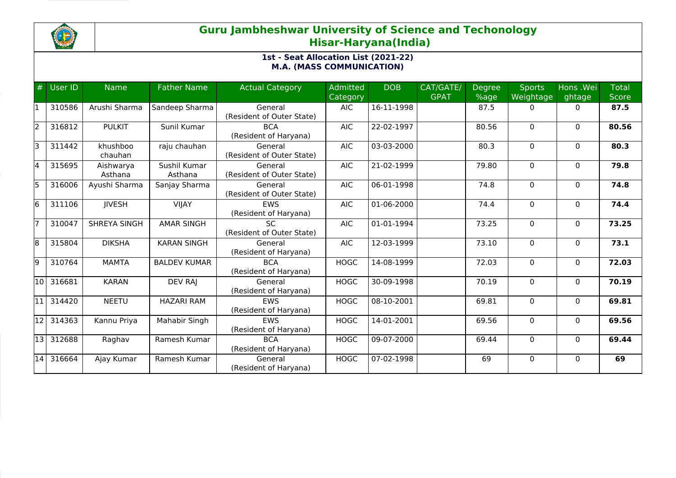

# **Guru Jambheshwar University of Science and Techonology Hisar-Haryana(India)**

## **1st - Seat Allocation List (2021-22) M.A. (MASS COMMUNICATION)**

| #     | User ID | <b>Name</b>          | <b>Father Name</b>      | <b>Actual Category</b>                 | <b>Admitted</b><br>Category | <b>DOB</b>   | CAT/GATE/<br><b>GPAT</b> | Degree<br>%age | <b>Sports</b><br>Weightage | Hons .Wei<br>ghtage | <b>Total</b><br><b>Score</b> |
|-------|---------|----------------------|-------------------------|----------------------------------------|-----------------------------|--------------|--------------------------|----------------|----------------------------|---------------------|------------------------------|
|       | 310586  | Arushi Sharma        | Sandeep Sharma          | General<br>(Resident of Outer State)   | <b>AIC</b>                  | 16-11-1998   |                          | 87.5           | 0                          | $\Omega$            | 87.5                         |
| l2    | 316812  | <b>PULKIT</b>        | Sunil Kumar             | <b>BCA</b><br>(Resident of Haryana)    | <b>AIC</b>                  | 22-02-1997   |                          | 80.56          | $\Omega$                   | $\mathbf{0}$        | 80.56                        |
| I٦    | 311442  | khushboo<br>chauhan  | raju chauhan            | General<br>(Resident of Outer State)   | <b>AIC</b>                  | 03-03-2000   |                          | 80.3           | 0                          | $\mathbf{0}$        | 80.3                         |
| 14    | 315695  | Aishwarya<br>Asthana | Sushil Kumar<br>Asthana | General<br>(Resident of Outer State)   | <b>AIC</b>                  | 21-02-1999   |                          | 79.80          | $\Omega$                   | $\mathbf{0}$        | 79.8                         |
| l5    | 316006  | Ayushi Sharma        | Sanjay Sharma           | General<br>(Resident of Outer State)   | <b>AIC</b>                  | 06-01-1998   |                          | 74.8           | $\Omega$                   | $\Omega$            | 74.8                         |
| l6    | 311106  | <b>JIVESH</b>        | VIJAY                   | <b>EWS</b><br>(Resident of Haryana)    | <b>AIC</b>                  | 01-06-2000   |                          | 74.4           | 0                          | $\mathbf{0}$        | 74.4                         |
|       | 310047  | <b>SHREYA SINGH</b>  | <b>AMAR SINGH</b>       | <b>SC</b><br>(Resident of Outer State) | <b>AIC</b>                  | 01-01-1994   |                          | 73.25          | $\Omega$                   | $\mathbf{0}$        | 73.25                        |
| 18    | 315804  | <b>DIKSHA</b>        | <b>KARAN SINGH</b>      | General<br>(Resident of Haryana)       | <b>AIC</b>                  | 12-03-1999   |                          | 73.10          | 0                          | 0                   | 73.1                         |
| l9    | 310764  | <b>MAMTA</b>         | <b>BALDEV KUMAR</b>     | <b>BCA</b><br>(Resident of Haryana)    | <b>HOGC</b>                 | 14-08-1999   |                          | 72.03          | $\Omega$                   | $\mathbf{0}$        | 72.03                        |
| l10 l | 316681  | <b>KARAN</b>         | <b>DEV RAI</b>          | General<br>(Resident of Haryana)       | <b>HOGC</b>                 | 30-09-1998   |                          | 70.19          | $\Omega$                   | $\mathbf{0}$        | 70.19                        |
| 11    | 314420  | <b>NEETU</b>         | <b>HAZARI RAM</b>       | <b>EWS</b><br>(Resident of Haryana)    | <b>HOGC</b>                 | 08-10-2001   |                          | 69.81          | 0                          | $\mathbf{0}$        | 69.81                        |
| 12    | 314363  | Kannu Priya          | Mahabir Singh           | <b>FWS</b><br>(Resident of Haryana)    | <b>HOGC</b>                 | $14-01-2001$ |                          | 69.56          | $\Omega$                   | $\Omega$            | 69.56                        |
| l13 l | 312688  | Raghav               | Ramesh Kumar            | <b>BCA</b><br>(Resident of Haryana)    | <b>HOGC</b>                 | 09-07-2000   |                          | 69.44          | 0                          | $\mathbf{0}$        | 69.44                        |
| 14    | 316664  | Ajay Kumar           | Ramesh Kumar            | General<br>(Resident of Haryana)       | <b>HOGC</b>                 | 07-02-1998   |                          | 69             | $\Omega$                   | $\Omega$            | 69                           |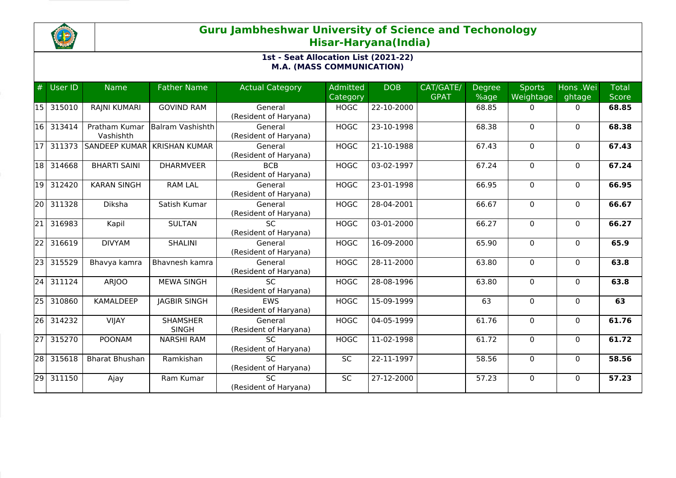

# **Guru Jambheshwar University of Science and Techonology Hisar-Haryana(India)**

## **1st - Seat Allocation List (2021-22) M.A. (MASS COMMUNICATION)**

| #               | User ID | <b>Name</b>                | <b>Father Name</b>              | <b>Actual Category</b>                   | Admitted    | <b>DOB</b> | CAT/GATE/   | Degree | <b>Sports</b> | Hons .Wei    | <b>Total</b> |
|-----------------|---------|----------------------------|---------------------------------|------------------------------------------|-------------|------------|-------------|--------|---------------|--------------|--------------|
|                 |         |                            |                                 |                                          | Category    |            | <b>GPAT</b> | %age   | Weightage     | ghtage       | <b>Score</b> |
| 15              | 315010  | <b>RAJNI KUMARI</b>        | <b>GOVIND RAM</b>               | General<br>(Resident of Haryana)         | <b>HOGC</b> | 22-10-2000 |             | 68.85  | 0             | $\Omega$     | 68.85        |
| 16              | 313414  | Pratham Kumar<br>Vashishth | Balram Vashishth                | General<br>(Resident of Haryana)         | <b>HOGC</b> | 23-10-1998 |             | 68.38  | $\mathbf 0$   | $\Omega$     | 68.38        |
| 117             | 311373  | <b>SANDEEP KUMAR</b>       | <b>KRISHAN KUMAR</b>            | General<br>(Resident of Haryana)         | <b>HOGC</b> | 21-10-1988 |             | 67.43  | $\mathbf 0$   | $\Omega$     | 67.43        |
| 18              | 314668  | <b>BHARTI SAINI</b>        | <b>DHARMVEER</b>                | <b>BCB</b><br>(Resident of Haryana)      | <b>HOGC</b> | 03-02-1997 |             | 67.24  | $\Omega$      | $\mathbf{0}$ | 67.24        |
| 19              | 312420  | <b>KARAN SINGH</b>         | <b>RAM LAL</b>                  | General<br>(Resident of Haryana)         | <b>HOGC</b> | 23-01-1998 |             | 66.95  | $\mathbf 0$   | $\Omega$     | 66.95        |
| 20              | 311328  | Diksha                     | Satish Kumar                    | General<br>(Resident of Haryana)         | <b>HOGC</b> | 28-04-2001 |             | 66.67  | $\Omega$      | $\mathbf{0}$ | 66.67        |
| $\overline{21}$ | 316983  | Kapil                      | <b>SULTAN</b>                   | <b>SC</b><br>(Resident of Haryana)       | <b>HOGC</b> | 03-01-2000 |             | 66.27  | 0             | 0            | 66.27        |
| $\overline{22}$ | 316619  | <b>DIVYAM</b>              | <b>SHALINI</b>                  | General<br>(Resident of Haryana)         | <b>HOGC</b> | 16-09-2000 |             | 65.90  | $\mathbf 0$   | $\Omega$     | 65.9         |
| 23              | 315529  | Bhavya kamra               | Bhavnesh kamra                  | General<br>(Resident of Haryana)         | <b>HOGC</b> | 28-11-2000 |             | 63.80  | 0             | $\mathbf{0}$ | 63.8         |
| 24              | 311124  | <b>ARJOO</b>               | <b>MEWA SINGH</b>               | $\overline{SC}$<br>(Resident of Haryana) | <b>HOGC</b> | 28-08-1996 |             | 63.80  | 0             | $\mathbf{0}$ | 63.8         |
| $\overline{25}$ | 310860  | <b>KAMALDEEP</b>           | <b>JAGBIR SINGH</b>             | <b>EWS</b><br>(Resident of Haryana)      | <b>HOGC</b> | 15-09-1999 |             | 63     | $\mathbf 0$   | $\Omega$     | 63           |
| 26              | 314232  | <b>VIJAY</b>               | <b>SHAMSHER</b><br><b>SINGH</b> | General<br>(Resident of Haryana)         | <b>HOGC</b> | 04-05-1999 |             | 61.76  | 0             | $\mathbf 0$  | 61.76        |
| $\overline{27}$ | 315270  | <b>POONAM</b>              | <b>NARSHI RAM</b>               | $\overline{SC}$<br>(Resident of Haryana) | <b>HOGC</b> | 11-02-1998 |             | 61.72  | 0             | $\mathbf{0}$ | 61.72        |
| $\overline{28}$ | 315618  | <b>Bharat Bhushan</b>      | Ramkishan                       | <b>SC</b><br>(Resident of Haryana)       | SC          | 22-11-1997 |             | 58.56  | $\mathbf 0$   | $\Omega$     | 58.56        |
| $\overline{29}$ | 311150  | Ajay                       | Ram Kumar                       | <b>SC</b><br>(Resident of Haryana)       | SC          | 27-12-2000 |             | 57.23  | 0             | $\mathbf{0}$ | 57.23        |